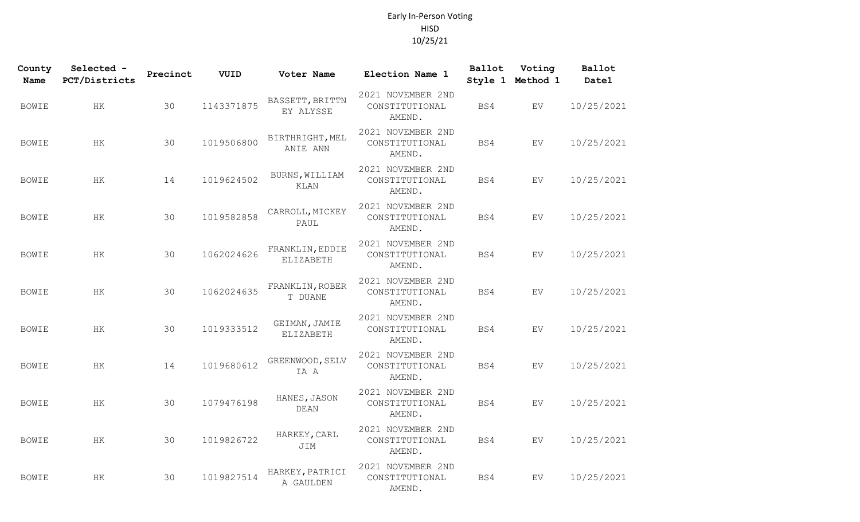## Early In-Person Voting HISD 10/25/21

| County<br><b>Name</b> | Selected -<br>PCT/Districts | Precinct | VUID       | Voter Name                    | Election Name 1                               | Ballot | Voting<br>Style 1 Method 1 | Ballot<br>Date1 |
|-----------------------|-----------------------------|----------|------------|-------------------------------|-----------------------------------------------|--------|----------------------------|-----------------|
| <b>BOWIE</b>          | HK                          | 30       | 1143371875 | BASSETT, BRITTN<br>EY ALYSSE  | 2021 NOVEMBER 2ND<br>CONSTITUTIONAL<br>AMEND. | BS4    | EV.                        | 10/25/2021      |
| <b>BOWIE</b>          | HK                          | 30       | 1019506800 | BIRTHRIGHT, MEL<br>ANIE ANN   | 2021 NOVEMBER 2ND<br>CONSTITUTIONAL<br>AMEND. | BS4    | ${\rm EV}$                 | 10/25/2021      |
| <b>BOWIE</b>          | HK                          | 14       | 1019624502 | BURNS, WILLIAM<br><b>KLAN</b> | 2021 NOVEMBER 2ND<br>CONSTITUTIONAL<br>AMEND. | BS4    | EV                         | 10/25/2021      |
| <b>BOWIE</b>          | HK                          | 30       | 1019582858 | CARROLL, MICKEY<br>PAUL       | 2021 NOVEMBER 2ND<br>CONSTITUTIONAL<br>AMEND. | BS4    | EV                         | 10/25/2021      |
| <b>BOWIE</b>          | HK                          | 30       | 1062024626 | FRANKLIN, EDDIE<br>ELIZABETH  | 2021 NOVEMBER 2ND<br>CONSTITUTIONAL<br>AMEND. | BS4    | EV                         | 10/25/2021      |
| <b>BOWIE</b>          | HK                          | 30       | 1062024635 | FRANKLIN, ROBER<br>T DUANE    | 2021 NOVEMBER 2ND<br>CONSTITUTIONAL<br>AMEND. | BS4    | EV                         | 10/25/2021      |
| <b>BOWIE</b>          | HK                          | 30       | 1019333512 | GEIMAN, JAMIE<br>ELIZABETH    | 2021 NOVEMBER 2ND<br>CONSTITUTIONAL<br>AMEND. | BS4    | EV                         | 10/25/2021      |
| <b>BOWIE</b>          | HК                          | 14       | 1019680612 | GREENWOOD, SELV<br>IA A       | 2021 NOVEMBER 2ND<br>CONSTITUTIONAL<br>AMEND. | BS4    | EV                         | 10/25/2021      |
| <b>BOWIE</b>          | HK                          | 30       | 1079476198 | HANES, JASON<br><b>DEAN</b>   | 2021 NOVEMBER 2ND<br>CONSTITUTIONAL<br>AMEND. | BS4    | EV                         | 10/25/2021      |
| <b>BOWIE</b>          | HK                          | 30       | 1019826722 | HARKEY, CARL<br>JIM           | 2021 NOVEMBER 2ND<br>CONSTITUTIONAL<br>AMEND. | BS4    | EV                         | 10/25/2021      |
| <b>BOWIE</b>          | $\rm{HK}$                   | 30       | 1019827514 | HARKEY, PATRICI<br>A GAULDEN  | 2021 NOVEMBER 2ND<br>CONSTITUTIONAL<br>AMEND. | BS4    | EV                         | 10/25/2021      |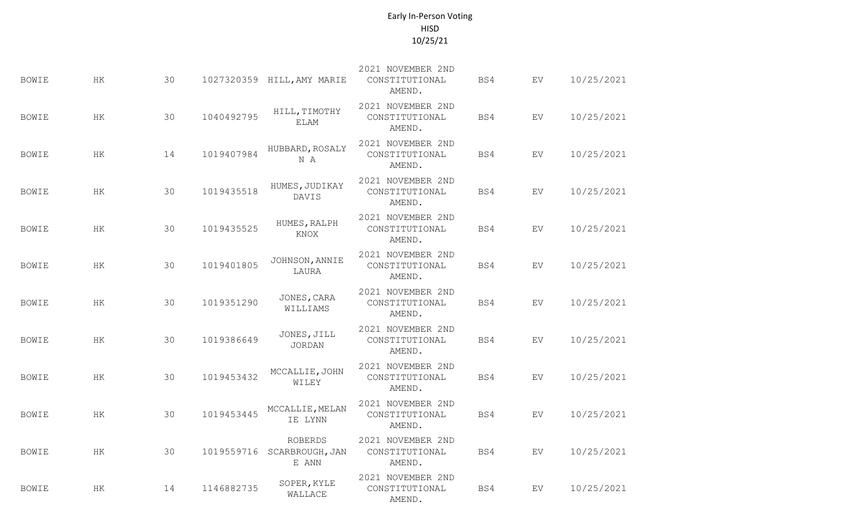## Early In-Person Voting HISD 10/25/21

| <b>BOWIE</b> | HK        | 30 |            | 1027320359 HILL, AMY MARIE          | 2021 NOVEMBER 2ND<br>CONSTITUTIONAL<br>AMEND. | BS4 | EV         | 10/25/2021 |
|--------------|-----------|----|------------|-------------------------------------|-----------------------------------------------|-----|------------|------------|
| <b>BOWIE</b> | $\rm{HK}$ | 30 | 1040492795 | HILL, TIMOTHY<br><b>ELAM</b>        | 2021 NOVEMBER 2ND<br>CONSTITUTIONAL<br>AMEND. | BS4 | EV         | 10/25/2021 |
| <b>BOWIE</b> | HK        | 14 | 1019407984 | HUBBARD, ROSALY<br>N A              | 2021 NOVEMBER 2ND<br>CONSTITUTIONAL<br>AMEND. | BS4 | EV         | 10/25/2021 |
| <b>BOWIE</b> | HК        | 30 | 1019435518 | HUMES, JUDIKAY<br>DAVIS             | 2021 NOVEMBER 2ND<br>CONSTITUTIONAL<br>AMEND. | BS4 | EV         | 10/25/2021 |
| <b>BOWIE</b> | ΗK        | 30 | 1019435525 | HUMES, RALPH<br>KNOX                | 2021 NOVEMBER 2ND<br>CONSTITUTIONAL<br>AMEND. | BS4 | EV         | 10/25/2021 |
| <b>BOWIE</b> | HK        | 30 | 1019401805 | JOHNSON, ANNIE<br>LAURA             | 2021 NOVEMBER 2ND<br>CONSTITUTIONAL<br>AMEND. | BS4 | EV         | 10/25/2021 |
| <b>BOWIE</b> | HK        | 30 | 1019351290 | JONES, CARA<br>WILLIAMS             | 2021 NOVEMBER 2ND<br>CONSTITUTIONAL<br>AMEND. | BS4 | EV         | 10/25/2021 |
| <b>BOWIE</b> | HK        | 30 | 1019386649 | JONES, JILL<br><b>JORDAN</b>        | 2021 NOVEMBER 2ND<br>CONSTITUTIONAL<br>AMEND. | BS4 | EV         | 10/25/2021 |
| <b>BOWIE</b> | HK        | 30 | 1019453432 | MCCALLIE, JOHN<br>WILEY             | 2021 NOVEMBER 2ND<br>CONSTITUTIONAL<br>AMEND. | BS4 | EV.        | 10/25/2021 |
| <b>BOWIE</b> | $\rm{HK}$ | 30 | 1019453445 | MCCALLIE, MELAN<br>IE LYNN          | 2021 NOVEMBER 2ND<br>CONSTITUTIONAL<br>AMEND. | BS4 | EV         | 10/25/2021 |
| <b>BOWIE</b> | $\rm{HK}$ | 30 | 1019559716 | ROBERDS<br>SCARBROUGH, JAN<br>E ANN | 2021 NOVEMBER 2ND<br>CONSTITUTIONAL<br>AMEND. | BS4 | ${\rm EV}$ | 10/25/2021 |
| <b>BOWIE</b> | ΗK        | 14 | 1146882735 | SOPER, KYLE<br>WALLACE              | 2021 NOVEMBER 2ND<br>CONSTITUTIONAL<br>AMEND. | BS4 | EV         | 10/25/2021 |